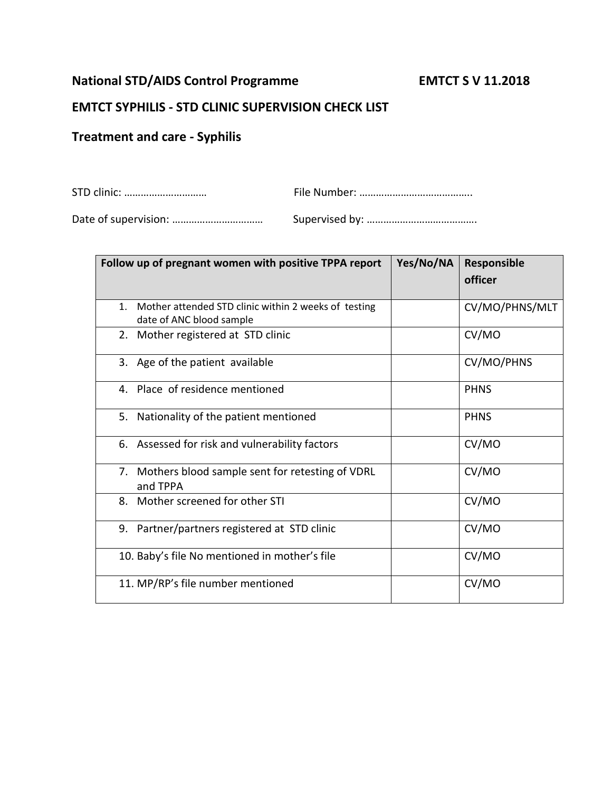## **National STD/AIDS Control Programme EMTCT S V 11.2018**

## **EMTCT SYPHILIS - STD CLINIC SUPERVISION CHECK LIST**

## **Treatment and care - Syphilis**

| Follow up of pregnant women with positive TPPA report                                              | Yes/No/NA | <b>Responsible</b> |
|----------------------------------------------------------------------------------------------------|-----------|--------------------|
|                                                                                                    |           | officer            |
| Mother attended STD clinic within 2 weeks of testing<br>$\mathbf{1}$ .<br>date of ANC blood sample |           | CV/MO/PHNS/MLT     |
| Mother registered at STD clinic<br>2.                                                              |           | CV/MO              |
| 3. Age of the patient available                                                                    |           | CV/MO/PHNS         |
| 4. Place of residence mentioned                                                                    |           | <b>PHNS</b>        |
| Nationality of the patient mentioned<br>5.                                                         |           | <b>PHNS</b>        |
| 6. Assessed for risk and vulnerability factors                                                     |           | CV/MO              |
| 7. Mothers blood sample sent for retesting of VDRL<br>and TPPA                                     |           | CV/MO              |
| Mother screened for other STI<br>8.                                                                |           | CV/MO              |
| 9. Partner/partners registered at STD clinic                                                       |           | CV/MO              |
| 10. Baby's file No mentioned in mother's file                                                      |           | CV/MO              |
| 11. MP/RP's file number mentioned                                                                  |           | CV/MO              |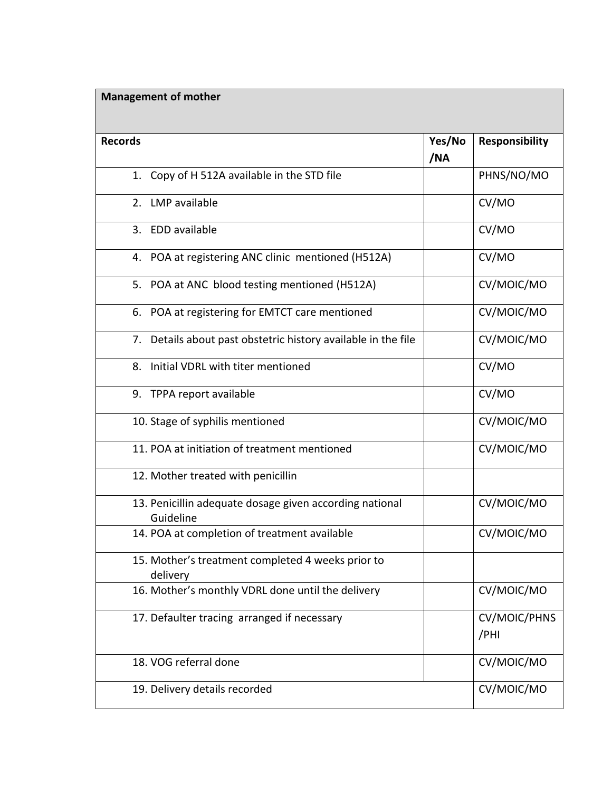## **Management of mother**

| <b>Records</b>                                                       | Yes/No<br>/NA | <b>Responsibility</b>       |
|----------------------------------------------------------------------|---------------|-----------------------------|
| 1. Copy of H 512A available in the STD file                          |               | PHNS/NO/MO                  |
| 2. LMP available                                                     |               | CV/MO                       |
| 3. EDD available                                                     |               | CV/MO                       |
| POA at registering ANC clinic mentioned (H512A)<br>4.                |               | CV/MO                       |
| 5. POA at ANC blood testing mentioned (H512A)                        |               | CV/MOIC/MO                  |
| POA at registering for EMTCT care mentioned<br>6.                    |               | CV/MOIC/MO                  |
| 7. Details about past obstetric history available in the file        |               | CV/MOIC/MO                  |
| 8.<br>Initial VDRL with titer mentioned                              |               | CV/MO                       |
| 9. TPPA report available                                             |               | CV/MO                       |
| 10. Stage of syphilis mentioned                                      |               | CV/MOIC/MO                  |
| 11. POA at initiation of treatment mentioned                         |               | CV/MOIC/MO                  |
| 12. Mother treated with penicillin                                   |               |                             |
| 13. Penicillin adequate dosage given according national<br>Guideline |               | CV/MOIC/MO                  |
| 14. POA at completion of treatment available                         |               | CV/MOIC/MO                  |
| 15. Mother's treatment completed 4 weeks prior to<br>delivery        |               |                             |
| 16. Mother's monthly VDRL done until the delivery                    |               | CV/MOIC/MO                  |
| 17. Defaulter tracing arranged if necessary                          |               | <b>CV/MOIC/PHNS</b><br>/PHI |
| 18. VOG referral done                                                |               | CV/MOIC/MO                  |
| 19. Delivery details recorded                                        |               | CV/MOIC/MO                  |